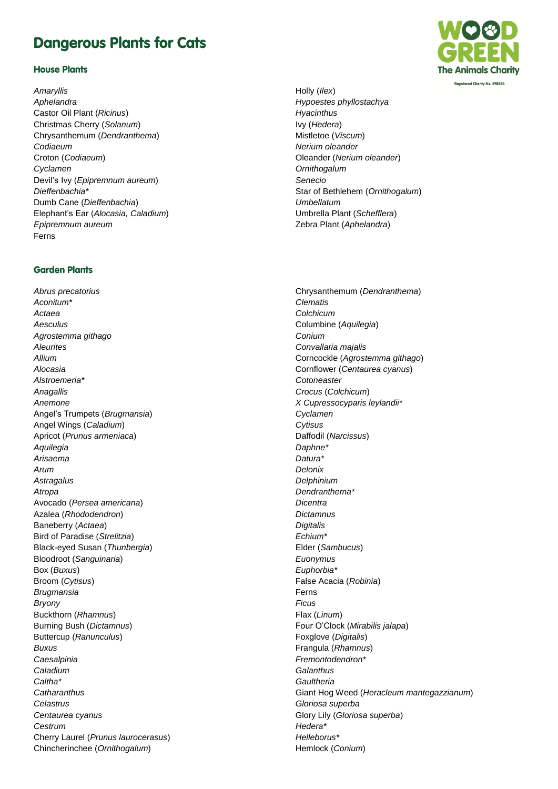## Dangerous Plants for Cats

## House Plants

*Amaryllis Aphelandra* Castor Oil Plant (*Ricinus*) Christmas Cherry (*Solanum*) Chrysanthemum (*Dendranthema*) *Codiaeum* Croton (*Codiaeum*) *Cyclamen* Devil's Ivy (*Epipremnum aureum*) *Dieffenbachia\** Dumb Cane (*Dieffenbachia*) Elephant's Ear (*Alocasia, Caladium*) *Epipremnum aureum* Ferns

## Garden Plants

*Abrus precatorius Aconitum\* Actaea Aesculus Agrostemma githago Aleurites Allium Alocasia Alstroemeria\* Anagallis Anemone* Angel's Trumpets (*Brugmansia*) Angel Wings (*Caladium*) Apricot (*Prunus armeniaca*) *Aquilegia Arisaema Arum Astragalus Atropa* Avocado (*Persea americana*) Azalea (*Rhododendron*) Baneberry (*Actaea*) Bird of Paradise (*Strelitzia*) Black-eyed Susan (*Thunbergia*) Bloodroot (*Sanguinaria*) Box (*Buxus*) Broom (*Cytisus*) *Brugmansia Bryony* Buckthorn (*Rhamnus*) Burning Bush (*Dictamnus*) Buttercup (*Ranunculus*) *Buxus Caesalpinia Caladium Caltha\* Catharanthus Celastrus Centaurea cyanus Cestrum* Cherry Laurel (*Prunus laurocerasus*) Chincherinchee (*Ornithogalum*)



Holly (*Ilex*) *Hypoestes phyllostachya Hyacinthus* Ivy (*Hedera*) Mistletoe (*Viscum*) *Nerium oleander* Oleander (*Nerium oleander*) *Ornithogalum Senecio* Star of Bethlehem (*Ornithogalum*) *Umbellatum* Umbrella Plant (*Schefflera*) Zebra Plant (*Aphelandra*)

Chrysanthemum (*Dendranthema*) *Clematis Colchicum* Columbine (*Aquilegia*) *Conium Convallaria majalis* Corncockle (*Agrostemma githago*) Cornflower (*Centaurea cyanus*) *Cotoneaster Crocus* (*Colchicum*) *X Cupressocyparis leylandii\* Cyclamen Cytisus* Daffodil (*Narcissus*) *Daphne\* Datura\* Delonix Delphinium Dendranthema\* Dicentra Dictamnus Digitalis Echium\** Elder (*Sambucus*) *Euonymus Euphorbia\** False Acacia (*Robinia*) Ferns *Ficus* Flax (*Linum*) Four O'Clock (*Mirabilis jalapa*) Foxglove (*Digitalis*) Frangula (*Rhamnus*) *Fremontodendron\* Galanthus Gaultheria* Giant Hog Weed (*Heracleum mantegazzianum*) *Gloriosa superba* Glory Lily (*Gloriosa superba*) *Hedera\* Helleborus\** Hemlock (*Conium*)